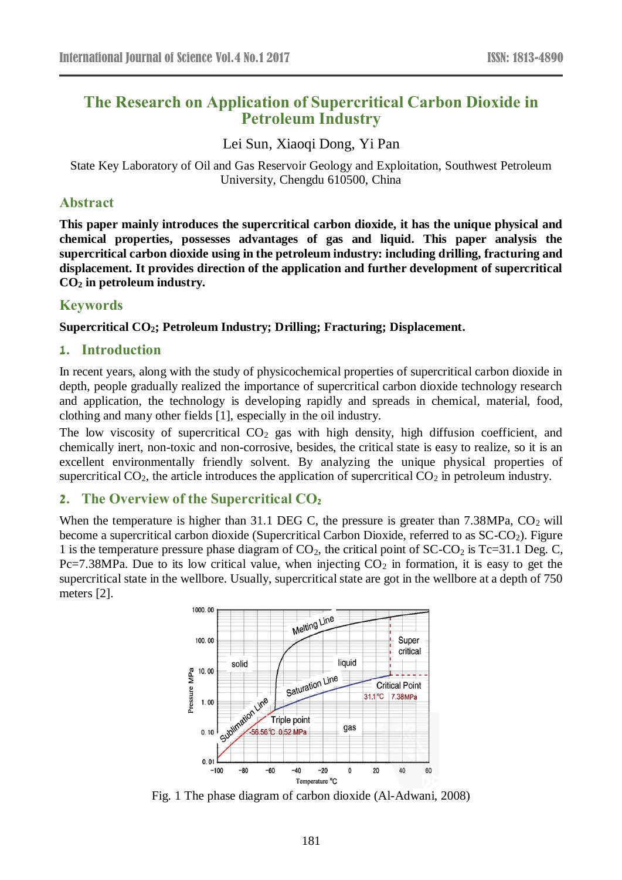# **The Research on Application of Supercritical Carbon Dioxide in Petroleum Industry**

Lei Sun, Xiaoqi Dong, Yi Pan

State Key Laboratory of Oil and Gas Reservoir Geology and Exploitation, Southwest Petroleum University, Chengdu 610500, China

#### **Abstract**

**This paper mainly introduces the supercritical carbon dioxide, it has the unique physical and chemical properties, possesses advantages of gas and liquid. This paper analysis the supercritical carbon dioxide using in the petroleum industry: including drilling, fracturing and displacement. It provides direction of the application and further development of supercritical CO<sup>2</sup> in petroleum industry.**

# **Keywords**

**Supercritical CO2; Petroleum Industry; Drilling; Fracturing; Displacement.**

# **1. Introduction**

In recent years, along with the study of physicochemical properties of supercritical carbon dioxide in depth, people gradually realized the importance of supercritical carbon dioxide technology research and application, the technology is developing rapidly and spreads in chemical, material, food, clothing and many other fields [1], especially in the oil industry.

The low viscosity of supercritical  $CO<sub>2</sub>$  gas with high density, high diffusion coefficient, and chemically inert, non-toxic and non-corrosive, besides, the critical state is easy to realize, so it is an excellent environmentally friendly solvent. By analyzing the unique physical properties of supercritical  $CO<sub>2</sub>$ , the article introduces the application of supercritical  $CO<sub>2</sub>$  in petroleum industry.

# **2. The Overview of the Supercritical CO<sup>2</sup>**

When the temperature is higher than 31.1 DEG C, the pressure is greater than  $7.38\text{MPa}$ ,  $CO_2$  will become a supercritical carbon dioxide (Supercritical Carbon Dioxide, referred to as  $SC-CO<sub>2</sub>$ ). Figure 1 is the temperature pressure phase diagram of  $CO<sub>2</sub>$ , the critical point of  $SCCO<sub>2</sub>$  is Tc=31.1 Deg. C, Pc=7.38MPa. Due to its low critical value, when injecting  $CO<sub>2</sub>$  in formation, it is easy to get the supercritical state in the wellbore. Usually, supercritical state are got in the wellbore at a depth of 750 meters [2].



Fig. 1 The phase diagram of carbon dioxide (Al-Adwani, 2008)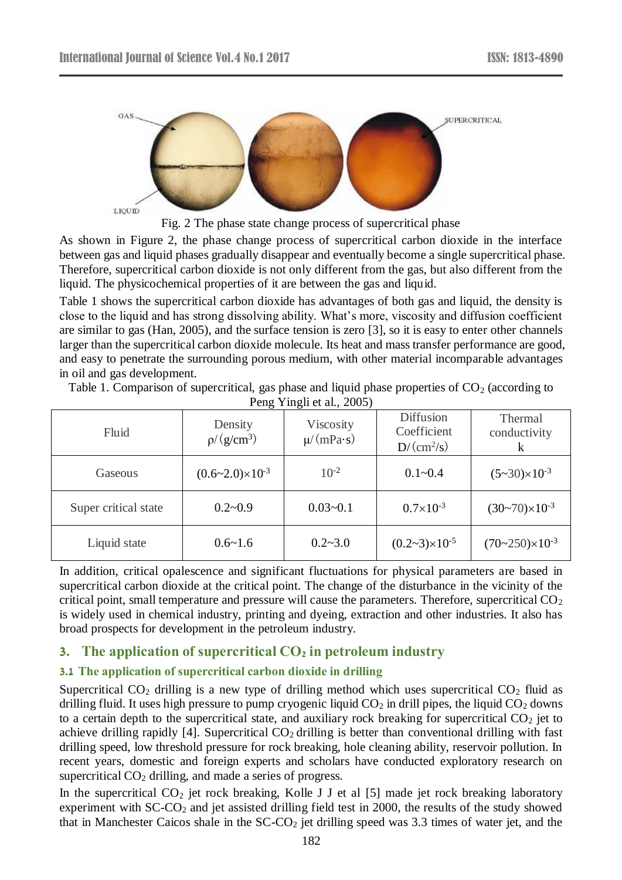

Fig. 2 The phase state change process of supercritical phase

As shown in Figure 2, the phase change process of supercritical carbon dioxide in the interface between gas and liquid phases gradually disappear and eventually become a single supercritical phase. Therefore, supercritical carbon dioxide is not only different from the gas, but also different from the liquid. The physicochemical properties of it are between the gas and liquid.

Table 1 shows the supercritical carbon dioxide has advantages of both gas and liquid, the density is close to the liquid and has strong dissolving ability. What's more, viscosity and diffusion coefficient are similar to gas (Han, 2005), and the surface tension is zero [3], so it is easy to enter other channels larger than the supercritical carbon dioxide molecule. Its heat and mass transfer performance are good, and easy to penetrate the surrounding porous medium, with other material incomparable advantages in oil and gas development.

Table 1. Comparison of supercritical, gas phase and liquid phase properties of  $CO<sub>2</sub>$  (according to Peng Yingli et al., 2005)

| Fluid                | Density<br>$p/(g/cm^3)$         | Viscosity<br>$\mu$ /(mPa s) | <b>Diffusion</b><br>Coefficient<br>$D/(cm^2/s)$ | Thermal<br>conductivity<br>$\bf k$ |
|----------------------|---------------------------------|-----------------------------|-------------------------------------------------|------------------------------------|
| Gaseous              | $(0.6 \sim 2.0) \times 10^{-3}$ | $10^{-2}$                   | $0.1 - 0.4$                                     | $(5-30)\times 10^{-3}$             |
| Super critical state | $0.2 - 0.9$                     | $0.03 - 0.1$                | $0.7\times10^{-3}$                              | $(30-70)\times10^{-3}$             |
| Liquid state         | $0.6 - 1.6$                     | $0.2 - 3.0$                 | $(0.2-3)\times10^{-5}$                          | $(70-250)\times 10^{-3}$           |

In addition, critical opalescence and significant fluctuations for physical parameters are based in supercritical carbon dioxide at the critical point. The change of the disturbance in the vicinity of the critical point, small temperature and pressure will cause the parameters. Therefore, supercritical  $CO<sub>2</sub>$ is widely used in chemical industry, printing and dyeing, extraction and other industries. It also has broad prospects for development in the petroleum industry.

# **3. The application of supercritical CO<sup>2</sup> in petroleum industry**

#### **3.1 The application of supercritical carbon dioxide in drilling**

Supercritical  $CO<sub>2</sub>$  drilling is a new type of drilling method which uses supercritical  $CO<sub>2</sub>$  fluid as drilling fluid. It uses high pressure to pump cryogenic liquid  $CO<sub>2</sub>$  in drill pipes, the liquid  $CO<sub>2</sub>$  downs to a certain depth to the supercritical state, and auxiliary rock breaking for supercritical  $CO<sub>2</sub>$  jet to achieve drilling rapidly [4]. Supercritical  $CO<sub>2</sub>$  drilling is better than conventional drilling with fast drilling speed, low threshold pressure for rock breaking, hole cleaning ability, reservoir pollution. In recent years, domestic and foreign experts and scholars have conducted exploratory research on supercritical  $CO<sub>2</sub>$  drilling, and made a series of progress.

In the supercritical  $CO_2$  jet rock breaking, Kolle J J et al [5] made jet rock breaking laboratory experiment with SC-CO<sub>2</sub> and jet assisted drilling field test in 2000, the results of the study showed that in Manchester Caicos shale in the  $SC-CO<sub>2</sub>$  jet drilling speed was 3.3 times of water jet, and the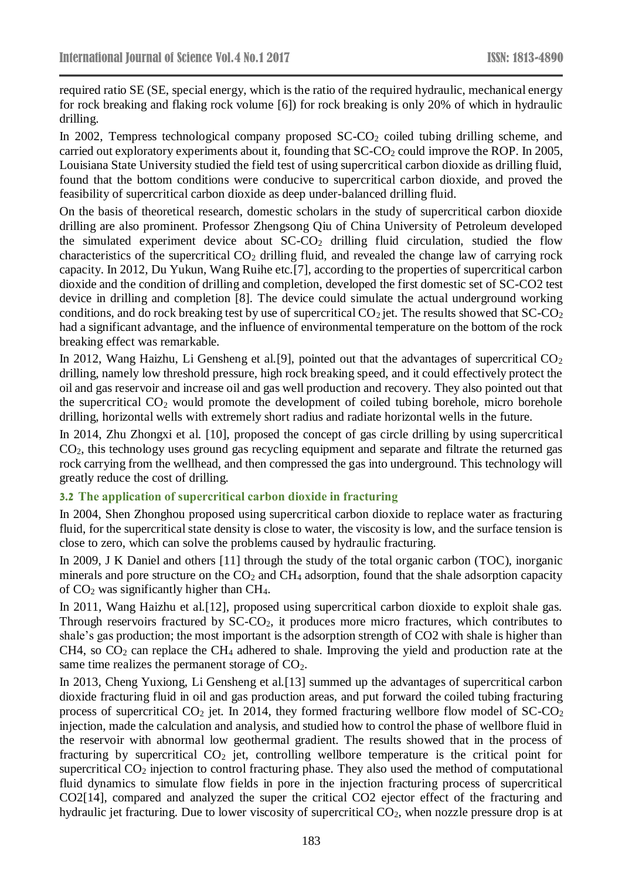required ratio SE (SE, special energy, which is the ratio of the required hydraulic, mechanical energy for rock breaking and flaking rock volume [6]) for rock breaking is only 20% of which in hydraulic drilling.

In 2002, Tempress technological company proposed SC-CO<sub>2</sub> coiled tubing drilling scheme, and carried out exploratory experiments about it, founding that  $SC\text{-}CO<sub>2</sub>$  could improve the ROP. In 2005, Louisiana State University studied the field test of using supercritical carbon dioxide as drilling fluid, found that the bottom conditions were conducive to supercritical carbon dioxide, and proved the feasibility of supercritical carbon dioxide as deep under-balanced drilling fluid.

On the basis of theoretical research, domestic scholars in the study of supercritical carbon dioxide drilling are also prominent. Professor Zhengsong Qiu of China University of Petroleum developed the simulated experiment device about  $SC-CO<sub>2</sub>$  drilling fluid circulation, studied the flow characteristics of the supercritical  $CO<sub>2</sub>$  drilling fluid, and revealed the change law of carrying rock capacity. In 2012, Du Yukun, Wang Ruihe etc.[7], according to the properties of supercritical carbon dioxide and the condition of drilling and completion, developed the first domestic set of SC-CO2 test device in drilling and completion [8]. The device could simulate the actual underground working conditions, and do rock breaking test by use of supercritical  $CO_2$  jet. The results showed that  $SC\text{-}CO_2$ had a significant advantage, and the influence of environmental temperature on the bottom of the rock breaking effect was remarkable.

In 2012, Wang Haizhu, Li Gensheng et al. [9], pointed out that the advantages of supercritical  $CO<sub>2</sub>$ drilling, namely low threshold pressure, high rock breaking speed, and it could effectively protect the oil and gas reservoir and increase oil and gas well production and recovery. They also pointed out that the supercritical  $CO<sub>2</sub>$  would promote the development of coiled tubing borehole, micro borehole drilling, horizontal wells with extremely short radius and radiate horizontal wells in the future.

In 2014, Zhu Zhongxi et al. [10], proposed the concept of gas circle drilling by using supercritical CO2, this technology uses ground gas recycling equipment and separate and filtrate the returned gas rock carrying from the wellhead, and then compressed the gas into underground. This technology will greatly reduce the cost of drilling.

#### **3.2 The application of supercritical carbon dioxide in fracturing**

In 2004, Shen Zhonghou proposed using supercritical carbon dioxide to replace water as fracturing fluid, for the supercritical state density is close to water, the viscosity is low, and the surface tension is close to zero, which can solve the problems caused by hydraulic fracturing.

In 2009, J K Daniel and others [11] through the study of the total organic carbon (TOC), inorganic minerals and pore structure on the  $CO<sub>2</sub>$  and  $CH<sub>4</sub>$  adsorption, found that the shale adsorption capacity of  $CO<sub>2</sub>$  was significantly higher than CH<sub>4</sub>.

In 2011, Wang Haizhu et al.[12], proposed using supercritical carbon dioxide to exploit shale gas. Through reservoirs fractured by SC-CO<sub>2</sub>, it produces more micro fractures, which contributes to shale's gas production; the most important is the adsorption strength of CO2 with shale is higher than CH4, so  $CO<sub>2</sub>$  can replace the CH<sub>4</sub> adhered to shale. Improving the yield and production rate at the same time realizes the permanent storage of  $CO<sub>2</sub>$ .

In 2013, Cheng Yuxiong, Li Gensheng et al.[13] summed up the advantages of supercritical carbon dioxide fracturing fluid in oil and gas production areas, and put forward the coiled tubing fracturing process of supercritical  $CO_2$  jet. In 2014, they formed fracturing wellbore flow model of  $SC\text{-}CO_2$ injection, made the calculation and analysis, and studied how to control the phase of wellbore fluid in the reservoir with abnormal low geothermal gradient. The results showed that in the process of fracturing by supercritical  $CO<sub>2</sub>$  jet, controlling wellbore temperature is the critical point for supercritical CO<sub>2</sub> injection to control fracturing phase. They also used the method of computational fluid dynamics to simulate flow fields in pore in the injection fracturing process of supercritical CO2[14], compared and analyzed the super the critical CO2 ejector effect of the fracturing and hydraulic jet fracturing. Due to lower viscosity of supercritical  $CO<sub>2</sub>$ , when nozzle pressure drop is at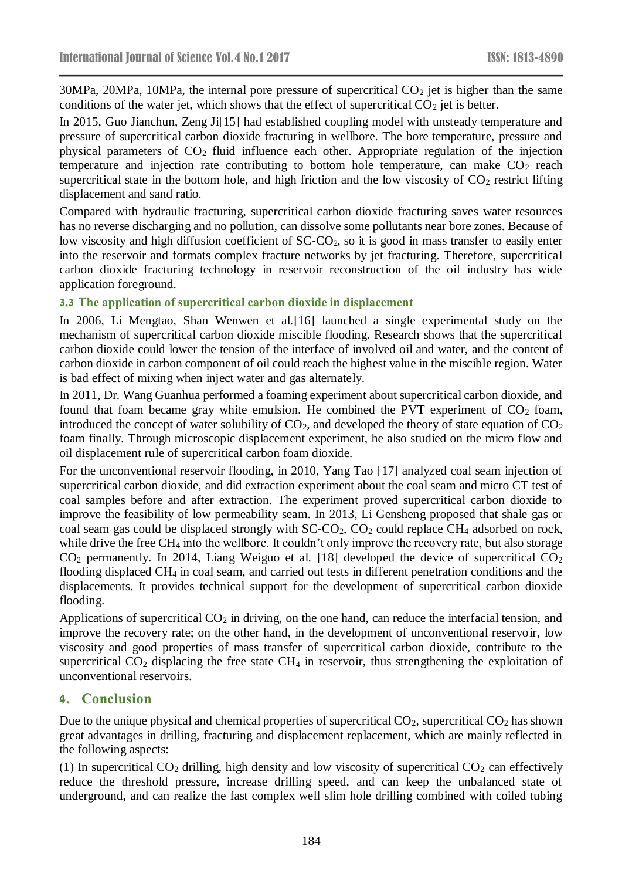$30MPa$ ,  $20MPa$ ,  $10MPa$ , the internal pore pressure of supercritical  $CO<sub>2</sub>$  jet is higher than the same conditions of the water jet, which shows that the effect of supercritical  $CO<sub>2</sub>$  jet is better.

In 2015, Guo Jianchun, Zeng Ji[15] had established coupling model with unsteady temperature and pressure of supercritical carbon dioxide fracturing in wellbore. The bore temperature, pressure and physical parameters of  $CO<sub>2</sub>$  fluid influence each other. Appropriate regulation of the injection temperature and injection rate contributing to bottom hole temperature, can make  $CO<sub>2</sub>$  reach supercritical state in the bottom hole, and high friction and the low viscosity of  $CO<sub>2</sub>$  restrict lifting displacement and sand ratio.

Compared with hydraulic fracturing, supercritical carbon dioxide fracturing saves water resources has no reverse discharging and no pollution, can dissolve some pollutants near bore zones. Because of low viscosity and high diffusion coefficient of SC-CO<sub>2</sub>, so it is good in mass transfer to easily enter into the reservoir and formats complex fracture networks by jet fracturing. Therefore, supercritical carbon dioxide fracturing technology in reservoir reconstruction of the oil industry has wide application foreground.

#### **3.3 The application of supercritical carbon dioxide in displacement**

In 2006, Li Mengtao, Shan Wenwen et al. [16] launched a single experimental study on the mechanism of supercritical carbon dioxide miscible flooding. Research shows that the supercritical carbon dioxide could lower the tension of the interface of involved oil and water, and the content of carbon dioxide in carbon component of oil could reach the highest value in the miscible region. Water is bad effect of mixing when inject water and gas alternately.

In 2011, Dr. Wang Guanhua performed a foaming experiment about supercritical carbon dioxide, and found that foam became gray white emulsion. He combined the PVT experiment of  $CO<sub>2</sub>$  foam, introduced the concept of water solubility of  $CO<sub>2</sub>$ , and developed the theory of state equation of  $CO<sub>2</sub>$ foam finally. Through microscopic displacement experiment, he also studied on the micro flow and oil displacement rule of supercritical carbon foam dioxide.

For the unconventional reservoir flooding, in 2010, Yang Tao [17] analyzed coal seam injection of supercritical carbon dioxide, and did extraction experiment about the coal seam and micro CT test of coal samples before and after extraction. The experiment proved supercritical carbon dioxide to improve the feasibility of low permeability seam. In 2013, Li Gensheng proposed that shale gas or coal seam gas could be displaced strongly with  $SC\text{-}CO_2$ ,  $CO_2$  could replace  $CH_4$  adsorbed on rock, while drive the free CH<sub>4</sub> into the wellbore. It couldn't only improve the recovery rate, but also storage  $CO<sub>2</sub>$  permanently. In 2014, Liang Weiguo et al. [18] developed the device of supercritical  $CO<sub>2</sub>$ flooding displaced CH<sup>4</sup> in coal seam, and carried out tests in different penetration conditions and the displacements. It provides technical support for the development of supercritical carbon dioxide flooding.

Applications of supercritical  $CO<sub>2</sub>$  in driving, on the one hand, can reduce the interfacial tension, and improve the recovery rate; on the other hand, in the development of unconventional reservoir, low viscosity and good properties of mass transfer of supercritical carbon dioxide, contribute to the supercritical  $CO<sub>2</sub>$  displacing the free state  $CH<sub>4</sub>$  in reservoir, thus strengthening the exploitation of unconventional reservoirs.

# **4. Conclusion**

Due to the unique physical and chemical properties of supercritical  $CO_2$ , supercritical  $CO_2$  has shown great advantages in drilling, fracturing and displacement replacement, which are mainly reflected in the following aspects:

(1) In supercritical  $CO_2$  drilling, high density and low viscosity of supercritical  $CO_2$  can effectively reduce the threshold pressure, increase drilling speed, and can keep the unbalanced state of underground, and can realize the fast complex well slim hole drilling combined with coiled tubing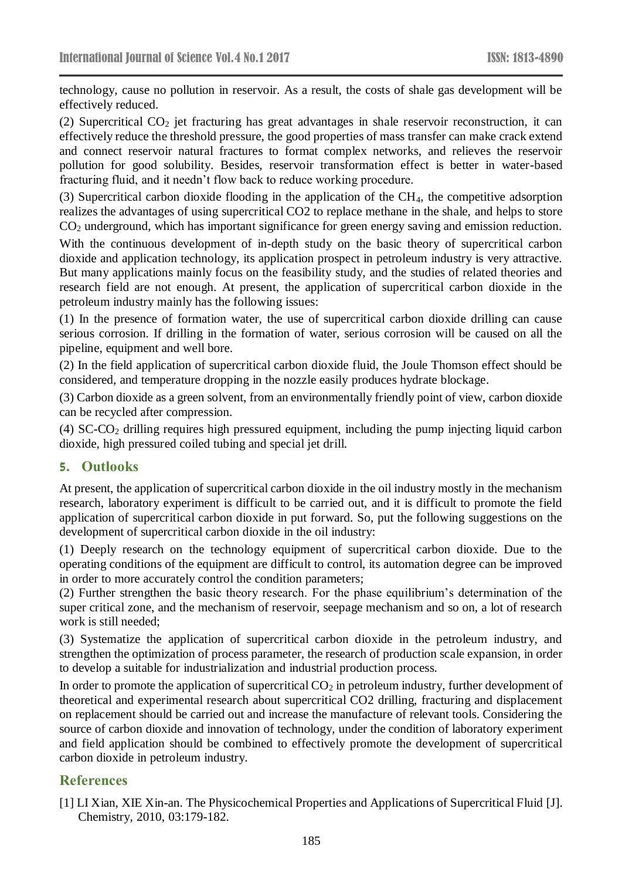technology, cause no pollution in reservoir. As a result, the costs of shale gas development will be effectively reduced.

(2) Supercritical  $CO<sub>2</sub>$  jet fracturing has great advantages in shale reservoir reconstruction, it can effectively reduce the threshold pressure, the good properties of mass transfer can make crack extend and connect reservoir natural fractures to format complex networks, and relieves the reservoir pollution for good solubility. Besides, reservoir transformation effect is better in water-based fracturing fluid, and it needn't flow back to reduce working procedure.

(3) Supercritical carbon dioxide flooding in the application of the  $CH<sub>4</sub>$ , the competitive adsorption realizes the advantages of using supercritical CO2 to replace methane in the shale, and helps to store CO<sup>2</sup> underground, which has important significance for green energy saving and emission reduction.

With the continuous development of in-depth study on the basic theory of supercritical carbon dioxide and application technology, its application prospect in petroleum industry is very attractive. But many applications mainly focus on the feasibility study, and the studies of related theories and research field are not enough. At present, the application of supercritical carbon dioxide in the petroleum industry mainly has the following issues:

(1) In the presence of formation water, the use of supercritical carbon dioxide drilling can cause serious corrosion. If drilling in the formation of water, serious corrosion will be caused on all the pipeline, equipment and well bore.

(2) In the field application of supercritical carbon dioxide fluid, the Joule Thomson effect should be considered, and temperature dropping in the nozzle easily produces hydrate blockage.

(3) Carbon dioxide as a green solvent, from an environmentally friendly point of view, carbon dioxide can be recycled after compression.

(4) SC-CO<sup>2</sup> drilling requires high pressured equipment, including the pump injecting liquid carbon dioxide, high pressured coiled tubing and special jet drill.

# **5. Outlooks**

At present, the application of supercritical carbon dioxide in the oil industry mostly in the mechanism research, laboratory experiment is difficult to be carried out, and it is difficult to promote the field application of supercritical carbon dioxide in put forward. So, put the following suggestions on the development of supercritical carbon dioxide in the oil industry:

(1) Deeply research on the technology equipment of supercritical carbon dioxide. Due to the operating conditions of the equipment are difficult to control, its automation degree can be improved in order to more accurately control the condition parameters;

(2) Further strengthen the basic theory research. For the phase equilibrium's determination of the super critical zone, and the mechanism of reservoir, seepage mechanism and so on, a lot of research work is still needed;

(3) Systematize the application of supercritical carbon dioxide in the petroleum industry, and strengthen the optimization of process parameter, the research of production scale expansion, in order to develop a suitable for industrialization and industrial production process.

In order to promote the application of supercritical  $CO<sub>2</sub>$  in petroleum industry, further development of theoretical and experimental research about supercritical CO2 drilling, fracturing and displacement on replacement should be carried out and increase the manufacture of relevant tools. Considering the source of carbon dioxide and innovation of technology, under the condition of laboratory experiment and field application should be combined to effectively promote the development of supercritical carbon dioxide in petroleum industry.

# **References**

[1] LI Xian, XIE Xin-an. The Physicochemical Properties and Applications of Supercritical Fluid [J]. Chemistry, 2010, 03:179-182.